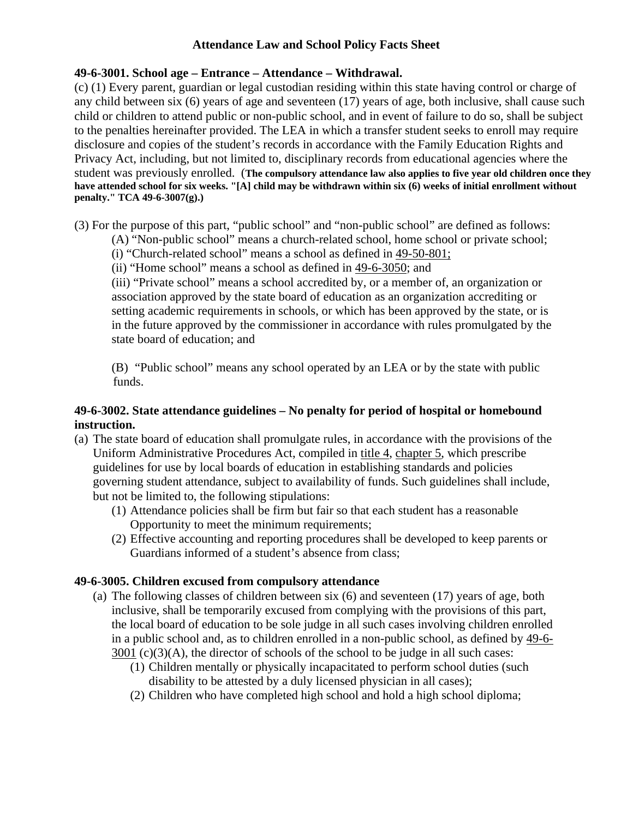### **Attendance Law and School Policy Facts Sheet**

### **49-6-3001. School age – Entrance – Attendance – Withdrawal.**

(c) (1) Every parent, guardian or legal custodian residing within this state having control or charge of any child between six (6) years of age and seventeen (17) years of age, both inclusive, shall cause such child or children to attend public or non-public school, and in event of failure to do so, shall be subject to the penalties hereinafter provided. The LEA in which a transfer student seeks to enroll may require disclosure and copies of the student's records in accordance with the Family Education Rights and Privacy Act, including, but not limited to, disciplinary records from educational agencies where the student was previously enrolled. (**The compulsory attendance law also applies to five year old children once they have attended school for six weeks. "[A] child may be withdrawn within six (6) weeks of initial enrollment without penalty." TCA 49-6-3007(g).)**

(3) For the purpose of this part, "public school" and "non-public school" are defined as follows:

- (A) "Non-public school" means a church-related school, home school or private school;
- (i) "Church-related school" means a school as defined in 49-50-801;
- (ii) "Home school" means a school as defined in 49-6-3050; and

(iii) "Private school" means a school accredited by, or a member of, an organization or association approved by the state board of education as an organization accrediting or setting academic requirements in schools, or which has been approved by the state, or is in the future approved by the commissioner in accordance with rules promulgated by the state board of education; and

(B) "Public school" means any school operated by an LEA or by the state with public funds.

## **49-6-3002. State attendance guidelines – No penalty for period of hospital or homebound instruction.**

- (a) The state board of education shall promulgate rules, in accordance with the provisions of the Uniform Administrative Procedures Act, compiled in title 4, chapter 5, which prescribe guidelines for use by local boards of education in establishing standards and policies governing student attendance, subject to availability of funds. Such guidelines shall include, but not be limited to, the following stipulations:
	- (1) Attendance policies shall be firm but fair so that each student has a reasonable Opportunity to meet the minimum requirements;
	- (2) Effective accounting and reporting procedures shall be developed to keep parents or Guardians informed of a student's absence from class;

# **49-6-3005. Children excused from compulsory attendance**

- (a) The following classes of children between six (6) and seventeen (17) years of age, both inclusive, shall be temporarily excused from complying with the provisions of this part, the local board of education to be sole judge in all such cases involving children enrolled in a public school and, as to children enrolled in a non-public school, as defined by 49-6-  $3001$  (c)(3)(A), the director of schools of the school to be judge in all such cases:
	- (1) Children mentally or physically incapacitated to perform school duties (such disability to be attested by a duly licensed physician in all cases);
	- (2) Children who have completed high school and hold a high school diploma;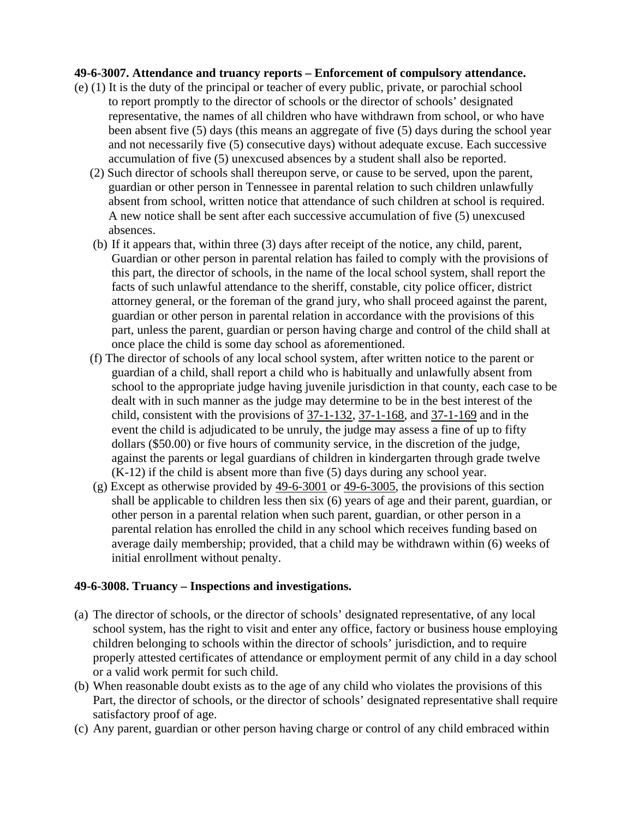#### **49-6-3007. Attendance and truancy reports – Enforcement of compulsory attendance.**

- (e) (1) It is the duty of the principal or teacher of every public, private, or parochial school to report promptly to the director of schools or the director of schools' designated representative, the names of all children who have withdrawn from school, or who have been absent five (5) days (this means an aggregate of five (5) days during the school year and not necessarily five (5) consecutive days) without adequate excuse. Each successive accumulation of five (5) unexcused absences by a student shall also be reported.
	- (2) Such director of schools shall thereupon serve, or cause to be served, upon the parent, guardian or other person in Tennessee in parental relation to such children unlawfully absent from school, written notice that attendance of such children at school is required. A new notice shall be sent after each successive accumulation of five (5) unexcused absences.
	- (b) If it appears that, within three (3) days after receipt of the notice, any child, parent, Guardian or other person in parental relation has failed to comply with the provisions of this part, the director of schools, in the name of the local school system, shall report the facts of such unlawful attendance to the sheriff, constable, city police officer, district attorney general, or the foreman of the grand jury, who shall proceed against the parent, guardian or other person in parental relation in accordance with the provisions of this part, unless the parent, guardian or person having charge and control of the child shall at once place the child is some day school as aforementioned.
	- (f) The director of schools of any local school system, after written notice to the parent or guardian of a child, shall report a child who is habitually and unlawfully absent from school to the appropriate judge having juvenile jurisdiction in that county, each case to be dealt with in such manner as the judge may determine to be in the best interest of the child, consistent with the provisions of 37-1-132, 37-1-168, and 37-1-169 and in the event the child is adjudicated to be unruly, the judge may assess a fine of up to fifty dollars (\$50.00) or five hours of community service, in the discretion of the judge, against the parents or legal guardians of children in kindergarten through grade twelve (K-12) if the child is absent more than five (5) days during any school year.
	- (g) Except as otherwise provided by 49-6-3001 or 49-6-3005, the provisions of this section shall be applicable to children less then six (6) years of age and their parent, guardian, or other person in a parental relation when such parent, guardian, or other person in a parental relation has enrolled the child in any school which receives funding based on average daily membership; provided, that a child may be withdrawn within (6) weeks of initial enrollment without penalty.

#### **49-6-3008. Truancy – Inspections and investigations.**

- (a) The director of schools, or the director of schools' designated representative, of any local school system, has the right to visit and enter any office, factory or business house employing children belonging to schools within the director of schools' jurisdiction, and to require properly attested certificates of attendance or employment permit of any child in a day school or a valid work permit for such child.
- (b) When reasonable doubt exists as to the age of any child who violates the provisions of this Part, the director of schools, or the director of schools' designated representative shall require satisfactory proof of age.
- (c) Any parent, guardian or other person having charge or control of any child embraced within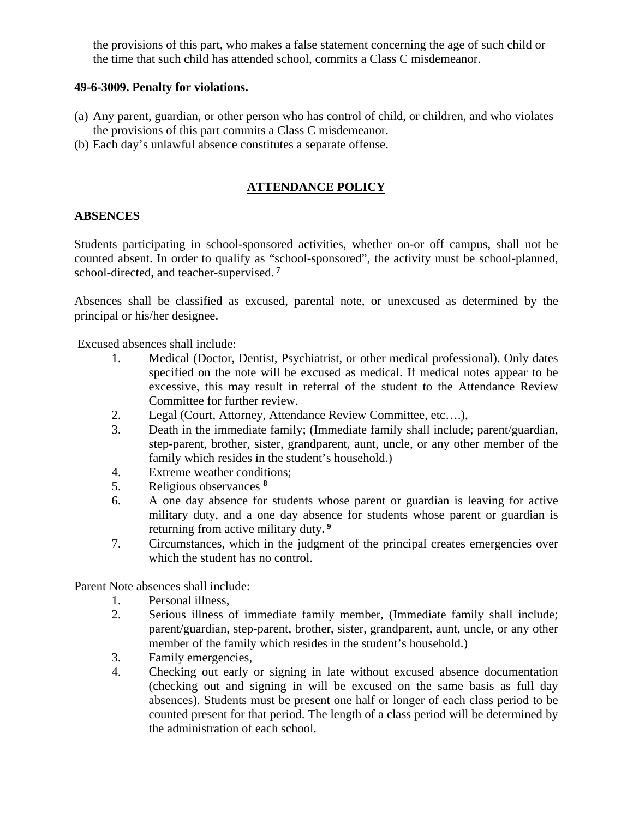the provisions of this part, who makes a false statement concerning the age of such child or the time that such child has attended school, commits a Class C misdemeanor.

#### **49-6-3009. Penalty for violations.**

- (a) Any parent, guardian, or other person who has control of child, or children, and who violates the provisions of this part commits a Class C misdemeanor.
- (b) Each day's unlawful absence constitutes a separate offense.

## **ATTENDANCE POLICY**

#### **ABSENCES**

Students participating in school-sponsored activities, whether on-or off campus, shall not be counted absent. In order to qualify as "school-sponsored", the activity must be school-planned, school-directed, and teacher-supervised.**<sup>7</sup>**

Absences shall be classified as excused, parental note, or unexcused as determined by the principal or his/her designee.

Excused absences shall include:

- 1. Medical (Doctor, Dentist, Psychiatrist, or other medical professional). Only dates specified on the note will be excused as medical. If medical notes appear to be excessive, this may result in referral of the student to the Attendance Review Committee for further review.
- 2. Legal (Court, Attorney, Attendance Review Committee, etc….),
- 3. Death in the immediate family; (Immediate family shall include; parent/guardian, step-parent, brother, sister, grandparent, aunt, uncle, or any other member of the family which resides in the student's household.)
- 4. Extreme weather conditions;
- 5. Religious observances **<sup>8</sup>**
- 6. A one day absence for students whose parent or guardian is leaving for active military duty, and a one day absence for students whose parent or guardian is returning from active military duty**. 9**
- 7. Circumstances, which in the judgment of the principal creates emergencies over which the student has no control.

Parent Note absences shall include:

- 1. Personal illness,
- 2. Serious illness of immediate family member, (Immediate family shall include; parent/guardian, step-parent, brother, sister, grandparent, aunt, uncle, or any other member of the family which resides in the student's household.)
- 3. Family emergencies,
- 4. Checking out early or signing in late without excused absence documentation (checking out and signing in will be excused on the same basis as full day absences). Students must be present one half or longer of each class period to be counted present for that period. The length of a class period will be determined by the administration of each school.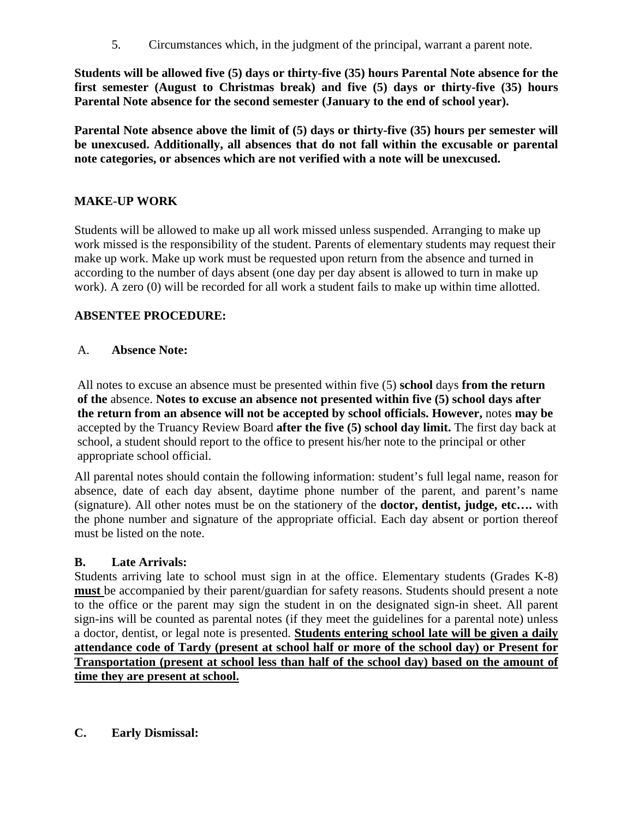5. Circumstances which, in the judgment of the principal, warrant a parent note.

**Students will be allowed five (5) days or thirty-five (35) hours Parental Note absence for the first semester (August to Christmas break) and five (5) days or thirty-five (35) hours Parental Note absence for the second semester (January to the end of school year).** 

**Parental Note absence above the limit of (5) days or thirty-five (35) hours per semester will be unexcused. Additionally, all absences that do not fall within the excusable or parental note categories, or absences which are not verified with a note will be unexcused.**

### **MAKE-UP WORK**

Students will be allowed to make up all work missed unless suspended. Arranging to make up work missed is the responsibility of the student. Parents of elementary students may request their make up work. Make up work must be requested upon return from the absence and turned in according to the number of days absent (one day per day absent is allowed to turn in make up work). A zero (0) will be recorded for all work a student fails to make up within time allotted.

## **ABSENTEE PROCEDURE:**

## A. **Absence Note:**

All notes to excuse an absence must be presented within five (5) **school** days **from the return of the** absence. **Notes to excuse an absence not presented within five (5) school days after the return from an absence will not be accepted by school officials. However,** notes **may be** accepted by the Truancy Review Board **after the five (5) school day limit.** The first day back at school, a student should report to the office to present his/her note to the principal or other appropriate school official.

All parental notes should contain the following information: student's full legal name, reason for absence, date of each day absent, daytime phone number of the parent, and parent's name (signature). All other notes must be on the stationery of the **doctor, dentist, judge, etc….** with the phone number and signature of the appropriate official. Each day absent or portion thereof must be listed on the note.

# **B. Late Arrivals:**

Students arriving late to school must sign in at the office. Elementary students (Grades K-8) **must** be accompanied by their parent/guardian for safety reasons. Students should present a note to the office or the parent may sign the student in on the designated sign-in sheet. All parent sign-ins will be counted as parental notes (if they meet the guidelines for a parental note) unless a doctor, dentist, or legal note is presented. **Students entering school late will be given a daily attendance code of Tardy (present at school half or more of the school day) or Present for Transportation (present at school less than half of the school day) based on the amount of time they are present at school.** 

**C. Early Dismissal:**